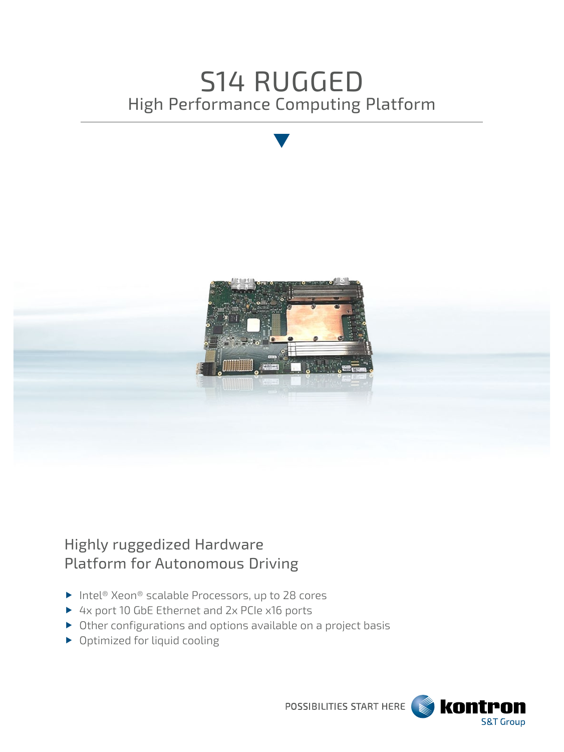# S14 RUGGED High Performance Computing Platform



## Highly ruggedized Hardware Platform for Autonomous Driving

- ▶ Intel® Xeon® scalable Processors, up to 28 cores
- ▶ 4x port 10 GbE Ethernet and 2x PCIe x16 ports
- Other configurations and options available on a project basis
- ▶ Optimized for liquid cooling